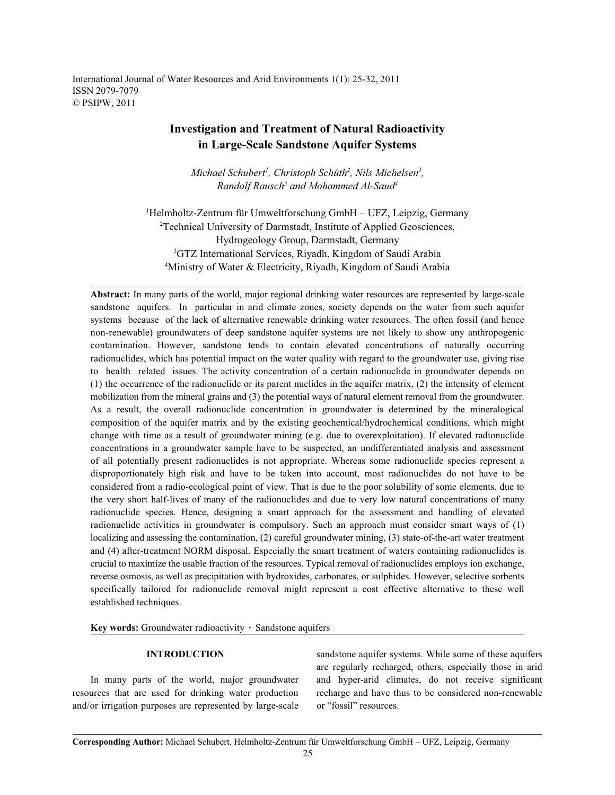International Journal of Water Resources and Arid Environments 1(1): 25-32, 2011 ISSN 2079-7079 © PSIPW, 2011

## **Investigation and Treatment of Natural Radioactivity in Large-Scale Sandstone Aquifer Systems**

*Michael Schubert<sup>1</sup>, Christoph Schüth<sup>2</sup>, Nils Michelsen<sup>3</sup>, Randolf Rausch<sup>3</sup> and Mohammed Al-Saud<sup>4</sup>* 

<sup>1</sup>Helmholtz-Zentrum für Umweltforschung GmbH – UFZ, Leipzig, Germany <sup>2</sup>Technical University of Darmstadt, Institute of Applied Geosciences, Hydrogeology Group, Darmstadt, Germany <sup>3</sup>GTZ International Services, Riyadh, Kingdom of Saudi Arabia <sup>4</sup>Ministry of Water & Electricity, Riyadh, Kingdom of Saudi Arabia

**Abstract:** In many parts of the world, major regional drinking water resources are represented by large-scale sandstone aquifers. In particular in arid climate zones, society depends on the water from such aquifer systems because of the lack of alternative renewable drinking water resources. The often fossil (and hence non-renewable) groundwaters of deep sandstone aquifer systems are not likely to show any anthropogenic contamination. However, sandstone tends to contain elevated concentrations of naturally occurring radionuclides, which has potential impact on the water quality with regard to the groundwater use, giving rise to health related issues. The activity concentration of a certain radionuclide in groundwater depends on (1) the occurrence of the radionuclide or its parent nuclides in the aquifer matrix, (2) the intensity of element mobilization from the mineral grains and (3) the potential ways of natural element removal from the groundwater. As a result, the overall radionuclide concentration in groundwater is determined by the mineralogical composition of the aquifer matrix and by the existing geochemical/hydrochemical conditions, which might change with time as a result of groundwater mining (e.g. due to overexploitation). If elevated radionuclide concentrations in a groundwater sample have to be suspected, an undifferentiated analysis and assessment of all potentially present radionuclides is not appropriate. Whereas some radionuclide species represent a disproportionately high risk and have to be taken into account, most radionuclides do not have to be considered from a radio-ecological point of view. That is due to the poor solubility of some elements, due to the very short half-lives of many of the radionuclides and due to very low natural concentrations of many radionuclide species. Hence, designing a smart approach for the assessment and handling of elevated radionuclide activities in groundwater is compulsory. Such an approach must consider smart ways of (1) localizing and assessing the contamination, (2) careful groundwater mining, (3) state-of-the-art water treatment and (4) after-treatment NORM disposal. Especially the smart treatment of waters containing radionuclides is crucial to maximize the usable fraction of the resources. Typical removal of radionuclides employs ion exchange, reverse osmosis, as well as precipitation with hydroxides, carbonates, or sulphides. However, selective sorbents specifically tailored for radionuclide removal might represent a cost effective alternative to these well established techniques.

Key words: Groundwater radioactivity · Sandstone aquifers

resources that are used for drinking water production recharge and have thus to be considered non-renewable and/or irrigation purposes are represented by large-scale or "fossil" resources.

**INTRODUCTION** sandstone aquifer systems. While some of these aquifers In many parts of the world, major groundwater and hyper-arid climates, do not receive significant are regularly recharged, others, especially those in arid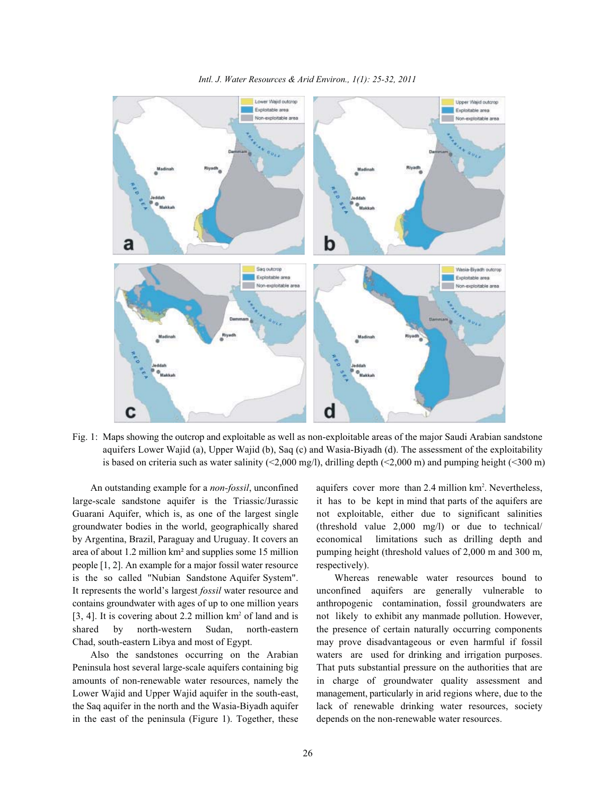

Fig. 1: Maps showing the outcrop and exploitable as well as non-exploitable areas of the major Saudi Arabian sandstone aquifers Lower Wajid (a), Upper Wajid (b), Saq (c) and Wasia-Biyadh (d). The assessment of the exploitability is based on criteria such as water salinity (<2,000 mg/l), drilling depth (<2,000 m) and pumping height (<300 m)

large-scale sandstone aquifer is the Triassic/Jurassic it has to be kept in mind that parts of the aquifers are Guarani Aquifer, which is, as one of the largest single not exploitable, either due to significant salinities groundwater bodies in the world, geographically shared (threshold value 2,000 mg/l) or due to technical/ by Argentina, Brazil, Paraguay and Uruguay. It covers an economical limitations such as drilling depth and area of about 1.2 million km² and supplies some 15 million pumping height (threshold values of 2,000 m and 300 m, people [1, 2]. An example for a major fossil water resource respectively). is the so called "Nubian Sandstone Aquifer System". Whereas renewable water resources bound to It represents the world's largest *fossil* water resource and unconfined aquifers are generally vulnerable to contains groundwater with ages of up to one million years anthropogenic contamination, fossil groundwaters are [3, 4]. It is covering about 2.2 million  $km^2$  of land and is not likely to exhibit any manmade pollution. However, shared by north-western Sudan, north-eastern the presence of certain naturally occurring components Chad, south-eastern Libya and most of Egypt. may prove disadvantageous or even harmful if fossil

Peninsula host several large-scale aquifers containing big That puts substantial pressure on the authorities that are amounts of non-renewable water resources, namely the in charge of groundwater quality assessment and Lower Wajid and Upper Wajid aquifer in the south-east, management, particularly in arid regions where, due to the the Saq aquifer in the north and the Wasia-Biyadh aquifer lack of renewable drinking water resources, society in the east of the peninsula (Figure 1). Together, these depends on the non-renewable water resources.

An outstanding example for a *non-fossil*, unconfined aquifers cover more than 2.4 million km<sup>2</sup>. Nevertheless,

Also the sandstones occurring on the Arabian waters are used for drinking and irrigation purposes.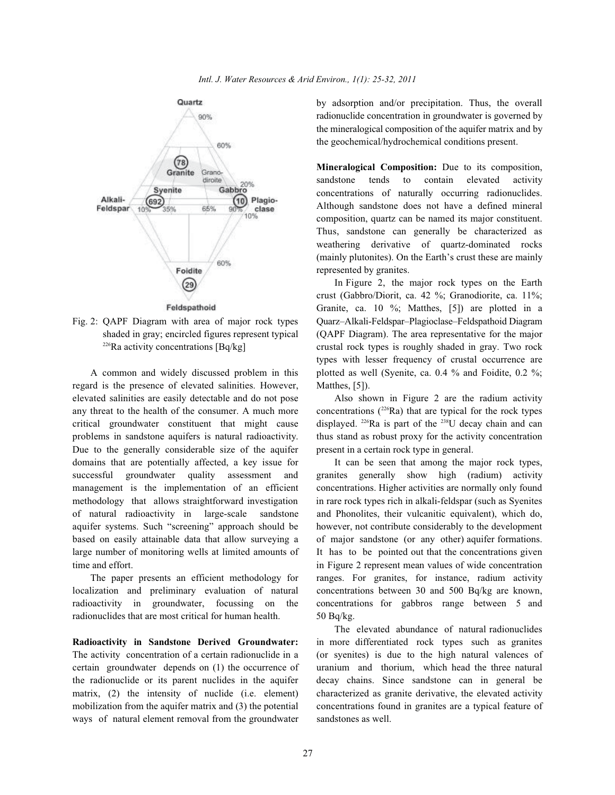

regard is the presence of elevated salinities. However, Matthes, [5]). elevated salinities are easily detectable and do not pose Also shown in Figure 2 are the radium activity any threat to the health of the consumer. A much more concentrations  $(2^{26}Ra)$  that are typical for the rock types critical groundwater constituent that might cause displayed. <sup>226</sup>Ra is part of the <sup>238</sup>U decay chain and can problems in sandstone aquifers is natural radioactivity. thus stand as robust proxy for the activity concentration Due to the generally considerable size of the aquifer present in a certain rock type in general. domains that are potentially affected, a key issue for It can be seen that among the major rock types, successful groundwater quality assessment and granites generally show high (radium) activity management is the implementation of an efficient concentrations. Higher activities are normally only found methodology that allows straightforward investigation in rare rock types rich in alkali-feldspar (such as Syenites of natural radioactivity in large-scale sandstone and Phonolites, their vulcanitic equivalent), which do, aquifer systems. Such "screening" approach should be however, not contribute considerably to the development based on easily attainable data that allow surveying a of major sandstone (or any other) aquifer formations. large number of monitoring wells at limited amounts of It has to be pointed out that the concentrations given time and effort. in Figure 2 represent mean values of wide concentration

localization and preliminary evaluation of natural concentrations between 30 and 500 Bq/kg are known, radioactivity in groundwater, focussing on the concentrations for gabbros range between 5 and radionuclides that are most critical for human health. 50 Bq/kg.

The activity concentration of a certain radionuclide in a (or syenites) is due to the high natural valences of certain groundwater depends on (1) the occurrence of uranium and thorium, which head the three natural the radionuclide or its parent nuclides in the aquifer decay chains. Since sandstone can in general be matrix, (2) the intensity of nuclide (i.e. element) characterized as granite derivative, the elevated activity mobilization from the aquifer matrix and (3) the potential concentrations found in granites are a typical feature of ways of natural element removal from the groundwater sandstones as well.

by adsorption and/or precipitation. Thus, the overall radionuclide concentration in groundwater is governed by the mineralogical composition of the aquifer matrix and by the geochemical/hydrochemical conditions present.

**Mineralogical Composition:** Due to its composition, sandstone tends to contain elevated activity concentrations of naturally occurring radionuclides. Although sandstone does not have a defined mineral composition, quartz can be named its major constituent. Thus, sandstone can generally be characterized as weathering derivative of quartz-dominated rocks (mainly plutonites). On the Earth's crust these are mainly represented by granites.

Fig. 2: QAPF Diagram with area of major rock types Quarz–Alkali-Feldspar–Plagioclase–Feldspathoid Diagram shaded in gray; encircled figures represent typical (QAPF Diagram). The area representative for the major <sup>226</sup>Ra activity concentrations  $[Bq/kg]$  crustal rock types is roughly shaded in gray. Two rock A common and widely discussed problem in this plotted as well (Syenite, ca. 0.4 % and Foidite, 0.2 %; In Figure 2, the major rock types on the Earth crust (Gabbro/Diorit, ca. 42 %; Granodiorite, ca. 11%; Granite, ca. 10 %; Matthes, [5]) are plotted in a types with lesser frequency of crustal occurrence are

The paper presents an efficient methodology for ranges. For granites, for instance, radium activity

**Radioactivity in Sandstone Derived Groundwater:** in more differentiated rock types such as granites The elevated abundance of natural radionuclides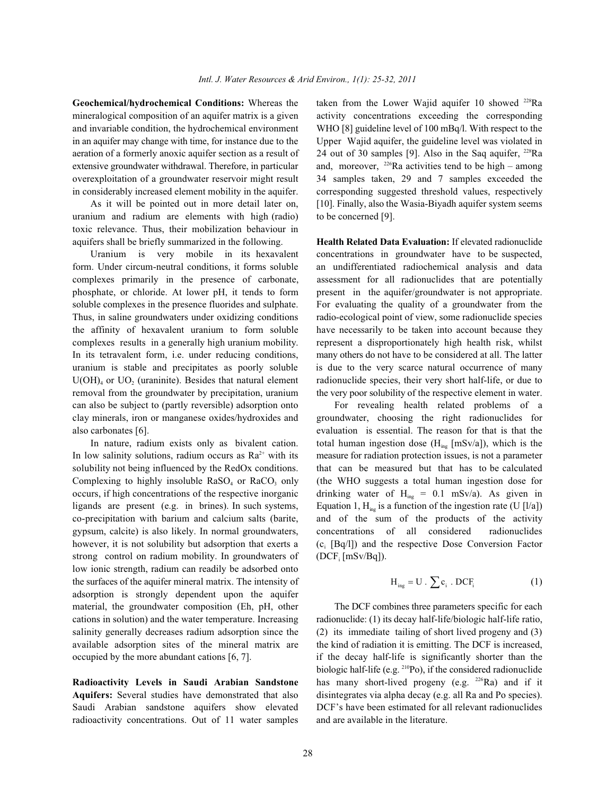mineralogical composition of an aquifer matrix is a given activity concentrations exceeding the corresponding and invariable condition, the hydrochemical environment WHO [8] guideline level of 100 mBq/l. With respect to the in an aquifer may change with time, for instance due to the Upper Wajid aquifer, the guideline level was violated in aeration of a formerly anoxic aquifer section as a result of extensive groundwater withdrawal. Therefore, in particular and, moreover,  $^{226}$ Ra activities tend to be high – among overexploitation of a groundwater reservoir might result 34 samples taken, 29 and 7 samples exceeded the

uranium and radium are elements with high (radio) to be concerned [9]. toxic relevance. Thus, their mobilization behaviour in aquifers shall be briefly summarized in the following. **Health Related Data Evaluation:** If elevated radionuclide

form. Under circum-neutral conditions, it forms soluble an undifferentiated radiochemical analysis and data complexes primarily in the presence of carbonate, assessment for all radionuclides that are potentially phosphate, or chloride. At lower pH, it tends to form present in the aquifer/groundwater is not appropriate. soluble complexes in the presence fluorides and sulphate. For evaluating the quality of a groundwater from the Thus, in saline groundwaters under oxidizing conditions radio-ecological point of view, some radionuclide species the affinity of hexavalent uranium to form soluble have necessarily to be taken into account because they complexes results in a generally high uranium mobility. represent a disproportionately high health risk, whilst In its tetravalent form, i.e. under reducing conditions, many others do not have to be considered at all. The latter uranium is stable and precipitates as poorly soluble is due to the very scarce natural occurrence of many  $U(OH)$ <sub>4</sub> or  $UO<sub>2</sub>$  (uraninite). Besides that natural element radionuclide species, their very short half-life, or due to removal from the groundwater by precipitation, uranium the very poor solubility of the respective element in water. can also be subject to (partly reversible) adsorption onto For revealing health related problems of a clay minerals, iron or manganese oxides/hydroxides and groundwater, choosing the right radionuclides for also carbonates [6]. evaluation is essential. The reason for that is that the

co-precipitation with barium and calcium salts (barite, and of the sum of the products of the activity strong control on radium mobility. In groundwaters of low ionic strength, radium can readily be adsorbed onto the surfaces of the aquifer mineral matrix. The intensity of adsorption is strongly dependent upon the aquifer material, the groundwater composition (Eh, pH, other The DCF combines three parameters specific for each cations in solution) and the water temperature. Increasing radionuclide: (1) its decay half-life/biologic half-life ratio, salinity generally decreases radium adsorption since the (2) its immediate tailing of short lived progeny and (3) available adsorption sites of the mineral matrix are the kind of radiation it is emitting. The DCF is increased, occupied by the more abundant cations [6, 7]. if the decay half-life is significantly shorter than the

**Aquifers:** Several studies have demonstrated that also disintegrates via alpha decay (e.g. all Ra and Po species). Saudi Arabian sandstone aquifers show elevated DCF's have been estimated for all relevant radionuclides radioactivity concentrations. Out of 11 water samples and are available in the literature.

Geochemical/hydrochemical Conditions: Whereas the taken from the Lower Wajid aquifer 10 showed <sup>228</sup>Ra in considerably increased element mobility in the aquifer. corresponding suggested threshold values, respectively As it will be pointed out in more detail later on, [10]. Finally, also the Wasia-Biyadh aquifer system seems 24 out of 30 samples [9]. Also in the Saq aquifer,  $^{228}$ Ra

Uranium is very mobile in its hexavalent concentrations in groundwater have to be suspected,

In nature, radium exists only as bivalent cation. total human ingestion dose  $(H_{mg} [mSv/a])$ , which is the In low salinity solutions, radium occurs as  $Ra^{2+}$  with its measure for radiation protection issues, is not a parameter solubility not being influenced by the RedOx conditions. that can be measured but that has to be calculated Complexing to highly insoluble  $RASO<sub>4</sub>$  or  $RACO<sub>3</sub>$  only (the WHO suggests a total human ingestion dose for occurs, if high concentrations of the respective inorganic drinking water of  $H_{mg} = 0.1$  mSv/a). As given in ligands are present (e.g. in brines). In such systems, Equation 1,  $H_{\text{ing}}$  is a function of the ingestion rate (U [l/a]) gypsum, calcite) is also likely. In normal groundwaters, concentrations of all considered radionuclides however, it is not solubility but adsorption that exerts a  $(c_i [Bq/1])$  and the respective Dose Conversion Factor  $(DCF_i [mSv/Bq]).$ 

$$
H_{ing} = U \cdot \sum c_i \cdot DCF_i \tag{1}
$$

**Radioactivity Levels in Saudi Arabian Sandstone** has many short-lived progeny (e.g. <sup>226</sup>Ra) and if it biologic half-life (e.g.  $^{210}P_0$ ), if the considered radionuclide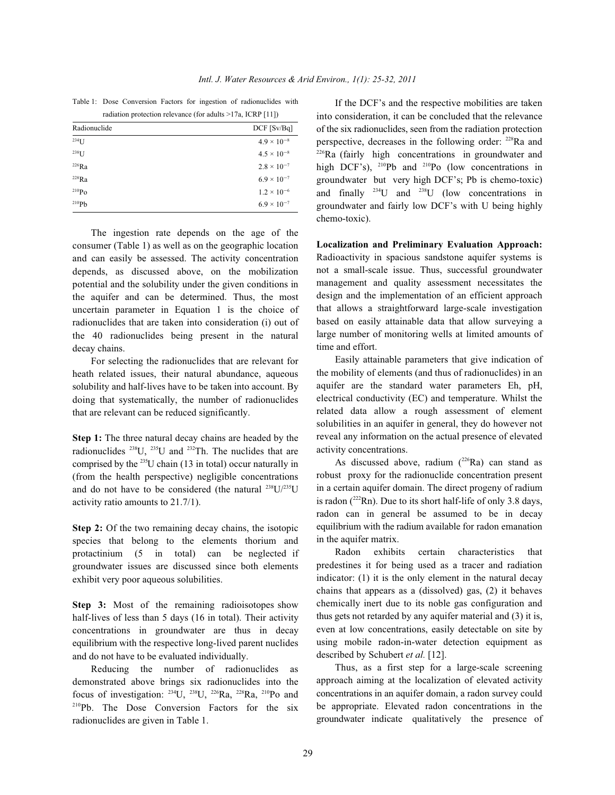Table 1: Dose Conversion Factors for ingestion of radionuclides with radiation protection relevance (for adults >17a, ICRP [11])

| Radionuclide      | $DCF$ [Sv/Bq]        |
|-------------------|----------------------|
| $234$ [J          | $4.9 \times 10^{-8}$ |
| $238$ U           | $4.5 \times 10^{-8}$ |
| $226$ Ra          | $2.8 \times 10^{-7}$ |
| $228$ Ra          | $6.9 \times 10^{-7}$ |
| $^{210}Po$        | $1.2 \times 10^{-6}$ |
| 210P <sub>b</sub> | $6.9 \times 10^{-7}$ |

The ingestion rate depends on the age of the consumer (Table 1) as well as on the geographic location and can easily be assessed. The activity concentration depends, as discussed above, on the mobilization potential and the solubility under the given conditions in the aquifer and can be determined. Thus, the most uncertain parameter in Equation 1 is the choice of radionuclides that are taken into consideration (i) out of the 40 radionuclides being present in the natural decay chains.

For selecting the radionuclides that are relevant for heath related issues, their natural abundance, aqueous solubility and half-lives have to be taken into account. By doing that systematically, the number of radionuclides that are relevant can be reduced significantly.

**Step 1:** The three natural decay chains are headed by the radionuclides  $^{238}U$ ,  $^{235}U$  and  $^{232}Th$ . The nuclides that are comprised by the  $^{235}U$  chain (13 in total) occur naturally in (from the health perspective) negligible concentrations and do not have to be considered (the natural  $^{238}U/^{235}U$ activity ratio amounts to 21.7/1).

**Step 2:** Of the two remaining decay chains, the isotopic species that belong to the elements thorium and protactinium (5 in total) can be neglected if groundwater issues are discussed since both elements exhibit very poor aqueous solubilities.

**Step 3:** Most of the remaining radioisotopes show half-lives of less than 5 days (16 in total). Their activity concentrations in groundwater are thus in decay equilibrium with the respective long-lived parent nuclides and do not have to be evaluated individually.

Reducing the number of radionuclides as demonstrated above brings six radionuclides into the focus of investigation:  $^{234}$ U,  $^{238}$ U,  $^{226}$ Ra,  $^{228}$ Ra,  $^{210}$ Po and  $210Pb$ . The Dose Conversion Factors for the six radionuclides are given in Table 1.

If the DCF's and the respective mobilities are taken into consideration, it can be concluded that the relevance of the six radionuclides, seen from the radiation protection perspective, decreases in the following order:  $228$ Ra and  $226$ Ra (fairly high concentrations in groundwater and high DCF's),  $^{210}Pb$  and  $^{210}Po$  (low concentrations in groundwater but very high DCF's; Pb is chemo-toxic) and finally  $234$  U and  $238$  U (low concentrations in groundwater and fairly low DCF's with U being highly chemo-toxic).

**Localization and Preliminary Evaluation Approach:** Radioactivity in spacious sandstone aquifer systems is not a small-scale issue. Thus, successful groundwater management and quality assessment necessitates the design and the implementation of an efficient approach that allows a straightforward large-scale investigation based on easily attainable data that allow surveying a large number of monitoring wells at limited amounts of time and effort.

Easily attainable parameters that give indication of the mobility of elements (and thus of radionuclides) in an aquifer are the standard water parameters Eh, pH, electrical conductivity (EC) and temperature. Whilst the related data allow a rough assessment of element solubilities in an aquifer in general, they do however not reveal any information on the actual presence of elevated activity concentrations.

As discussed above, radium  $(^{226}Ra)$  can stand as robust proxy for the radionuclide concentration present in a certain aquifer domain. The direct progeny of radium is radon ( $222$ Rn). Due to its short half-life of only 3.8 days, radon can in general be assumed to be in decay equilibrium with the radium available for radon emanation in the aquifer matrix.

Radon exhibits certain characteristics that predestines it for being used as a tracer and radiation indicator: (1) it is the only element in the natural decay chains that appears as a (dissolved) gas, (2) it behaves chemically inert due to its noble gas configuration and thus gets not retarded by any aquifer material and (3) it is, even at low concentrations, easily detectable on site by using mobile radon-in-water detection equipment as described by Schubert *et al.* [12].

Thus, as a first step for a large-scale screening approach aiming at the localization of elevated activity concentrations in an aquifer domain, a radon survey could be appropriate. Elevated radon concentrations in the groundwater indicate qualitatively the presence of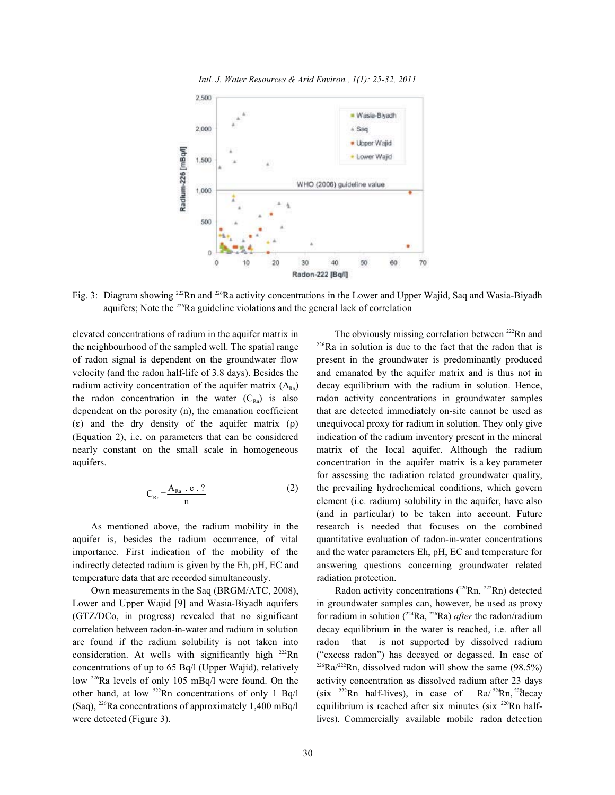*Intl. J. Water Resources & Arid Environ., 1(1): 25-32, 2011*



Fig. 3: Diagram showing <sup>222</sup>Rn and <sup>226</sup>Ra activity concentrations in the Lower and Upper Wajid, Saq and Wasia-Biyadh aquifers; Note the  $226$ Ra guideline violations and the general lack of correlation

elevated concentrations of radium in the aquifer matrix in the neighbourhood of the sampled well. The spatial range  $\frac{226}{Ra}$  in solution is due to the fact that the radon that is of radon signal is dependent on the groundwater flow present in the groundwater is predominantly produced velocity (and the radon half-life of 3.8 days). Besides the and emanated by the aquifer matrix and is thus not in radium activity concentration of the aquifer matrix  $(A_{\rm ra})$  decay equilibrium with the radium in solution. Hence, the radon concentration in the water  $(C_{\text{Rn}})$  is also radon activity concentrations in groundwater samples dependent on the porosity (n), the emanation coefficient that are detected immediately on-site cannot be used as  $(\epsilon)$  and the dry density of the aquifer matrix  $(\rho)$  unequivocal proxy for radium in solution. They only give (Equation 2), i.e. on parameters that can be considered indication of the radium inventory present in the mineral nearly constant on the small scale in homogeneous matrix of the local aquifer. Although the radium aquifers. concentration in the aquifer matrix is a key parameter

$$
C_{Rn} = \frac{A_{Ra} \cdot e \cdot ?}{n}
$$
 (2)

aquifer is, besides the radium occurrence, of vital quantitative evaluation of radon-in-water concentrations importance. First indication of the mobility of the and the water parameters Eh, pH, EC and temperature for indirectly detected radium is given by the Eh, pH, EC and answering questions concerning groundwater related temperature data that are recorded simultaneously. radiation protection.

Own measurements in the Saq (BRGM/ATC, 2008), Lower and Upper Wajid [9] and Wasia-Biyadh aquifers in groundwater samples can, however, be used as proxy (GTZ/DCo, in progress) revealed that no significant for radium in solution  $(^{224}Ra, ^{226}Ra)$  *after* the radon/radium correlation between radon-in-water and radium in solution decay equilibrium in the water is reached, i.e. after all are found if the radium solubility is not taken into radon that is not supported by dissolved radium consideration. At wells with significantly high  $^{222}$ Rn ("excess radon") has decayed or degassed. In case of concentrations of up to 65 Bq/l (Upper Wajid), relatively  $\frac{^{226}Ra^{222}Rn}$ , dissolved radon will show the same (98.5%) low <sup>226</sup>Ra levels of only 105 mBq/l were found. On the activity concentration as dissolved radium after 23 days other hand, at low <sup>222</sup>Rn concentrations of only 1 Bq/l (six <sup>222</sup>Rn half-lives), in case of Ra/ <sup>22</sup>Rn, <sup>22</sup> decay (Saq), <sup>226</sup>Ra concentrations of approximately 1,400 mBq/l were detected (Figure 3). lives). Commercially available mobile radon detection

the prevailing hydrochemical conditions, which govern As mentioned above, the radium mobility in the research is needed that focuses on the combined The obviously missing correlation between <sup>222</sup>Rn and for assessing the radiation related groundwater quality, element (i.e. radium) solubility in the aquifer, have also (and in particular) to be taken into account. Future

> Radon activity concentrations  $(^{220}$ Rn,  $^{222}$ Rn) detected equilibrium is reached after six minutes (six  $220$ Rn half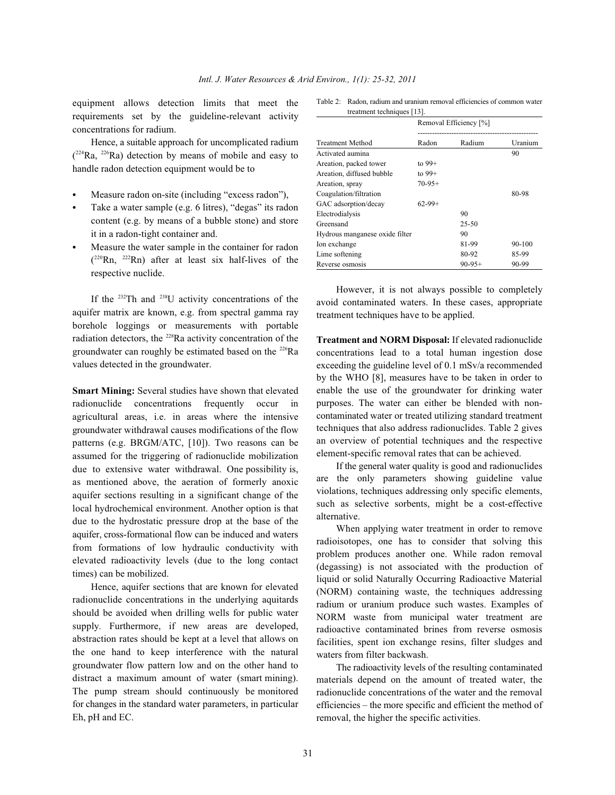equipment allows detection limits that meet the requirements set by the guideline-relevant activity concentrations for radium.

Hence, a suitable approach for uncomplicated radium  $(^{224}Ra, ^{226}Ra)$  detection by means of mobile and easy to handle radon detection equipment would be to

- Measure radon on-site (including "excess radon"),
- Take a water sample (e.g. 6 litres), "degas" its radon content (e.g. by means of a bubble stone) and store it in a radon-tight container and.
- Measure the water sample in the container for radon  $(^{220}Rn, ^{222}Rn)$  after at least six half-lives of the respective nuclide.

If the  $232$ Th and  $238$ U activity concentrations of the aquifer matrix are known, e.g. from spectral gamma ray borehole loggings or measurements with portable radiation detectors, the  $228$ Ra activity concentration of the groundwater can roughly be estimated based on the  $226$ Ra values detected in the groundwater.

**Smart Mining:** Several studies have shown that elevated radionuclide concentrations frequently occur in agricultural areas, i.e. in areas where the intensive groundwater withdrawal causes modifications of the flow patterns (e.g. BRGM/ATC, [10]). Two reasons can be assumed for the triggering of radionuclide mobilization due to extensive water withdrawal. One possibility is, as mentioned above, the aeration of formerly anoxic aquifer sections resulting in a significant change of the local hydrochemical environment. Another option is that due to the hydrostatic pressure drop at the base of the aquifer, cross-formational flow can be induced and waters from formations of low hydraulic conductivity with elevated radioactivity levels (due to the long contact times) can be mobilized.

Hence, aquifer sections that are known for elevated radionuclide concentrations in the underlying aquitards should be avoided when drilling wells for public water supply. Furthermore, if new areas are developed, abstraction rates should be kept at a level that allows on the one hand to keep interference with the natural groundwater flow pattern low and on the other hand to distract a maximum amount of water (smart mining). The pump stream should continuously be monitored for changes in the standard water parameters, in particular Eh, pH and EC.

Table 2: Radon, radium and uranium removal efficiencies of common water treatment techniques [13].

|                                | Removal Efficiency [%] |           |            |
|--------------------------------|------------------------|-----------|------------|
| <b>Treatment Method</b>        | Radon                  | Radium    | Uranium    |
| Activated aumina               |                        |           | 90         |
| Areation, packed tower         | to $99+$               |           |            |
| Areation, diffused bubble      | to $99+$               |           |            |
| Areation, spray                | $70-95+$               |           |            |
| Coagulation/filtration         |                        |           | 80-98      |
| GAC adsorption/decay           | $62-99+$               |           |            |
| Electrodialysis                |                        | 90        |            |
| Greensand                      |                        | $25 - 50$ |            |
| Hydrous manganese oxide filter |                        | 90        |            |
| Ion exchange                   |                        | 81-99     | $90 - 100$ |
| Lime softening                 |                        | 80-92     | 85-99      |
| Reverse osmosis                |                        | $90-95+$  | 90-99      |

However, it is not always possible to completely avoid contaminated waters. In these cases, appropriate treatment techniques have to be applied.

**Treatment and NORM Disposal:** If elevated radionuclide concentrations lead to a total human ingestion dose exceeding the guideline level of 0.1 mSv/a recommended by the WHO [8], measures have to be taken in order to enable the use of the groundwater for drinking water purposes. The water can either be blended with noncontaminated water or treated utilizing standard treatment techniques that also address radionuclides. Table 2 gives an overview of potential techniques and the respective element-specific removal rates that can be achieved.

If the general water quality is good and radionuclides are the only parameters showing guideline value violations, techniques addressing only specific elements, such as selective sorbents, might be a cost-effective alternative.

When applying water treatment in order to remove radioisotopes, one has to consider that solving this problem produces another one. While radon removal (degassing) is not associated with the production of liquid or solid Naturally Occurring Radioactive Material (NORM) containing waste, the techniques addressing radium or uranium produce such wastes. Examples of NORM waste from municipal water treatment are radioactive contaminated brines from reverse osmosis facilities, spent ion exchange resins, filter sludges and waters from filter backwash.

The radioactivity levels of the resulting contaminated materials depend on the amount of treated water, the radionuclide concentrations of the water and the removal efficiencies – the more specific and efficient the method of removal, the higher the specific activities.